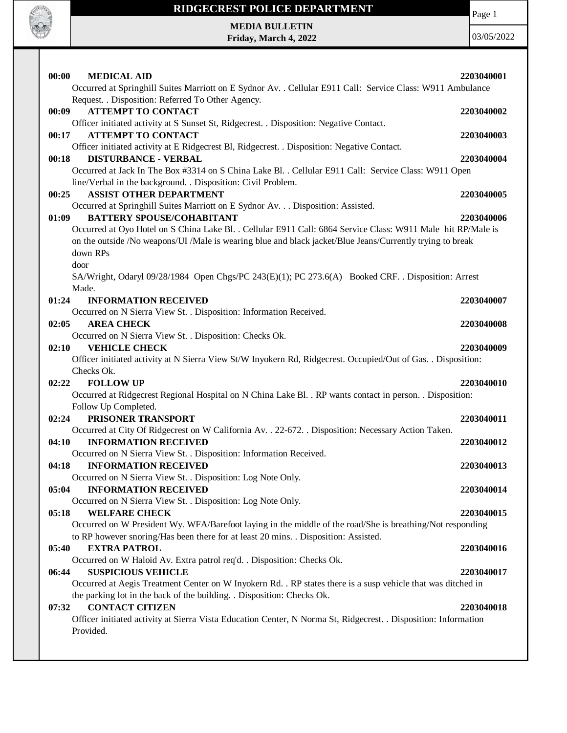

# **RIDGECREST POLICE DEPARTMENT**

Page 1

**MEDIA BULLETIN Friday, March 4, 2022**

| 00:00<br><b>MEDICAL AID</b><br>Occurred at Springhill Suites Marriott on E Sydnor Av. . Cellular E911 Call: Service Class: W911 Ambulance | 2203040001 |
|-------------------------------------------------------------------------------------------------------------------------------------------|------------|
| Request. . Disposition: Referred To Other Agency.                                                                                         |            |
| <b>ATTEMPT TO CONTACT</b><br>00:09                                                                                                        | 2203040002 |
| Officer initiated activity at S Sunset St, Ridgecrest. . Disposition: Negative Contact.                                                   |            |
| <b>ATTEMPT TO CONTACT</b><br>00:17                                                                                                        | 2203040003 |
| Officer initiated activity at E Ridgecrest Bl, Ridgecrest. . Disposition: Negative Contact.                                               |            |
| <b>DISTURBANCE - VERBAL</b><br>00:18                                                                                                      | 2203040004 |
| Occurred at Jack In The Box #3314 on S China Lake Bl. . Cellular E911 Call: Service Class: W911 Open                                      |            |
| line/Verbal in the background. . Disposition: Civil Problem.                                                                              |            |
| <b>ASSIST OTHER DEPARTMENT</b><br>00:25                                                                                                   | 2203040005 |
| Occurred at Springhill Suites Marriott on E Sydnor Av. Disposition: Assisted.                                                             |            |
| <b>BATTERY SPOUSE/COHABITANT</b><br>01:09                                                                                                 | 2203040006 |
| Occurred at Oyo Hotel on S China Lake Bl. . Cellular E911 Call: 6864 Service Class: W911 Male hit RP/Male is                              |            |
| on the outside /No weapons/UI /Male is wearing blue and black jacket/Blue Jeans/Currently trying to break                                 |            |
| down RPs                                                                                                                                  |            |
| door                                                                                                                                      |            |
| SA/Wright, Odaryl 09/28/1984 Open Chgs/PC 243(E)(1); PC 273.6(A) Booked CRF. . Disposition: Arrest                                        |            |
| Made.                                                                                                                                     |            |
| <b>INFORMATION RECEIVED</b><br>01:24                                                                                                      | 2203040007 |
| Occurred on N Sierra View St. . Disposition: Information Received.                                                                        |            |
| <b>AREA CHECK</b><br>02:05                                                                                                                | 2203040008 |
| Occurred on N Sierra View St. . Disposition: Checks Ok.                                                                                   |            |
| <b>VEHICLE CHECK</b><br>02:10                                                                                                             | 2203040009 |
| Officer initiated activity at N Sierra View St/W Inyokern Rd, Ridgecrest. Occupied/Out of Gas. . Disposition:                             |            |
| Checks Ok.                                                                                                                                |            |
| 02:22<br><b>FOLLOW UP</b>                                                                                                                 | 2203040010 |
|                                                                                                                                           |            |
|                                                                                                                                           |            |
| Occurred at Ridgecrest Regional Hospital on N China Lake Bl. . RP wants contact in person. . Disposition:<br>Follow Up Completed.         |            |
| 02:24<br>PRISONER TRANSPORT                                                                                                               | 2203040011 |
| Occurred at City Of Ridgecrest on W California Av. . 22-672. . Disposition: Necessary Action Taken.                                       |            |
| <b>INFORMATION RECEIVED</b><br>04:10                                                                                                      | 2203040012 |
| Occurred on N Sierra View St. . Disposition: Information Received.                                                                        |            |
| <b>INFORMATION RECEIVED</b><br>04:18                                                                                                      | 2203040013 |
| Occurred on N Sierra View St. . Disposition: Log Note Only.                                                                               |            |
| <b>INFORMATION RECEIVED</b><br>05:04                                                                                                      | 2203040014 |
| Occurred on N Sierra View St. . Disposition: Log Note Only.                                                                               |            |
| 05:18<br><b>WELFARE CHECK</b>                                                                                                             | 2203040015 |
| Occurred on W President Wy. WFA/Barefoot laying in the middle of the road/She is breathing/Not responding                                 |            |
| to RP however snoring/Has been there for at least 20 mins. . Disposition: Assisted.                                                       |            |
| 05:40<br><b>EXTRA PATROL</b>                                                                                                              | 2203040016 |
| Occurred on W Haloid Av. Extra patrol req'd. . Disposition: Checks Ok.                                                                    |            |
| <b>SUSPICIOUS VEHICLE</b><br>06:44                                                                                                        | 2203040017 |
| Occurred at Aegis Treatment Center on W Inyokern Rd. . RP states there is a susp vehicle that was ditched in                              |            |
| the parking lot in the back of the building. . Disposition: Checks Ok.                                                                    |            |
| <b>CONTACT CITIZEN</b><br>07:32                                                                                                           | 2203040018 |
| Officer initiated activity at Sierra Vista Education Center, N Norma St, Ridgecrest. . Disposition: Information                           |            |
| Provided.                                                                                                                                 |            |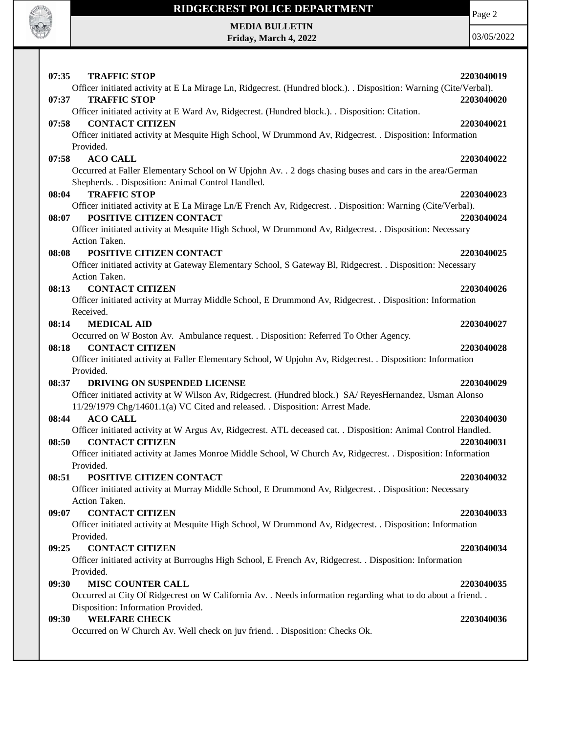

**Friday, March 4, 2022**

Page 2

| 07:35<br><b>TRAFFIC STOP</b>                                                                                | 2203040019                                                                                                                                                                                                                                                                                                                                                                                                                                                                                                                                                                                                                                                                                                                                                                                                                                                                                                                                                                                                                                                                                                                                                                                                                                                                                                                                                                                                                                                                                                                                                                                                                                                                                                                                                                                                                                                                                                                                                                                                                                                                                                                                           |
|-------------------------------------------------------------------------------------------------------------|------------------------------------------------------------------------------------------------------------------------------------------------------------------------------------------------------------------------------------------------------------------------------------------------------------------------------------------------------------------------------------------------------------------------------------------------------------------------------------------------------------------------------------------------------------------------------------------------------------------------------------------------------------------------------------------------------------------------------------------------------------------------------------------------------------------------------------------------------------------------------------------------------------------------------------------------------------------------------------------------------------------------------------------------------------------------------------------------------------------------------------------------------------------------------------------------------------------------------------------------------------------------------------------------------------------------------------------------------------------------------------------------------------------------------------------------------------------------------------------------------------------------------------------------------------------------------------------------------------------------------------------------------------------------------------------------------------------------------------------------------------------------------------------------------------------------------------------------------------------------------------------------------------------------------------------------------------------------------------------------------------------------------------------------------------------------------------------------------------------------------------------------------|
|                                                                                                             |                                                                                                                                                                                                                                                                                                                                                                                                                                                                                                                                                                                                                                                                                                                                                                                                                                                                                                                                                                                                                                                                                                                                                                                                                                                                                                                                                                                                                                                                                                                                                                                                                                                                                                                                                                                                                                                                                                                                                                                                                                                                                                                                                      |
|                                                                                                             | 2203040020                                                                                                                                                                                                                                                                                                                                                                                                                                                                                                                                                                                                                                                                                                                                                                                                                                                                                                                                                                                                                                                                                                                                                                                                                                                                                                                                                                                                                                                                                                                                                                                                                                                                                                                                                                                                                                                                                                                                                                                                                                                                                                                                           |
| Officer initiated activity at E Ward Av, Ridgecrest. (Hundred block.). . Disposition: Citation.             |                                                                                                                                                                                                                                                                                                                                                                                                                                                                                                                                                                                                                                                                                                                                                                                                                                                                                                                                                                                                                                                                                                                                                                                                                                                                                                                                                                                                                                                                                                                                                                                                                                                                                                                                                                                                                                                                                                                                                                                                                                                                                                                                                      |
| <b>CONTACT CITIZEN</b>                                                                                      | 2203040021                                                                                                                                                                                                                                                                                                                                                                                                                                                                                                                                                                                                                                                                                                                                                                                                                                                                                                                                                                                                                                                                                                                                                                                                                                                                                                                                                                                                                                                                                                                                                                                                                                                                                                                                                                                                                                                                                                                                                                                                                                                                                                                                           |
| Officer initiated activity at Mesquite High School, W Drummond Av, Ridgecrest. . Disposition: Information   |                                                                                                                                                                                                                                                                                                                                                                                                                                                                                                                                                                                                                                                                                                                                                                                                                                                                                                                                                                                                                                                                                                                                                                                                                                                                                                                                                                                                                                                                                                                                                                                                                                                                                                                                                                                                                                                                                                                                                                                                                                                                                                                                                      |
| Provided.                                                                                                   |                                                                                                                                                                                                                                                                                                                                                                                                                                                                                                                                                                                                                                                                                                                                                                                                                                                                                                                                                                                                                                                                                                                                                                                                                                                                                                                                                                                                                                                                                                                                                                                                                                                                                                                                                                                                                                                                                                                                                                                                                                                                                                                                                      |
|                                                                                                             | 2203040022                                                                                                                                                                                                                                                                                                                                                                                                                                                                                                                                                                                                                                                                                                                                                                                                                                                                                                                                                                                                                                                                                                                                                                                                                                                                                                                                                                                                                                                                                                                                                                                                                                                                                                                                                                                                                                                                                                                                                                                                                                                                                                                                           |
|                                                                                                             |                                                                                                                                                                                                                                                                                                                                                                                                                                                                                                                                                                                                                                                                                                                                                                                                                                                                                                                                                                                                                                                                                                                                                                                                                                                                                                                                                                                                                                                                                                                                                                                                                                                                                                                                                                                                                                                                                                                                                                                                                                                                                                                                                      |
|                                                                                                             |                                                                                                                                                                                                                                                                                                                                                                                                                                                                                                                                                                                                                                                                                                                                                                                                                                                                                                                                                                                                                                                                                                                                                                                                                                                                                                                                                                                                                                                                                                                                                                                                                                                                                                                                                                                                                                                                                                                                                                                                                                                                                                                                                      |
|                                                                                                             | 2203040023                                                                                                                                                                                                                                                                                                                                                                                                                                                                                                                                                                                                                                                                                                                                                                                                                                                                                                                                                                                                                                                                                                                                                                                                                                                                                                                                                                                                                                                                                                                                                                                                                                                                                                                                                                                                                                                                                                                                                                                                                                                                                                                                           |
|                                                                                                             |                                                                                                                                                                                                                                                                                                                                                                                                                                                                                                                                                                                                                                                                                                                                                                                                                                                                                                                                                                                                                                                                                                                                                                                                                                                                                                                                                                                                                                                                                                                                                                                                                                                                                                                                                                                                                                                                                                                                                                                                                                                                                                                                                      |
|                                                                                                             | 2203040024                                                                                                                                                                                                                                                                                                                                                                                                                                                                                                                                                                                                                                                                                                                                                                                                                                                                                                                                                                                                                                                                                                                                                                                                                                                                                                                                                                                                                                                                                                                                                                                                                                                                                                                                                                                                                                                                                                                                                                                                                                                                                                                                           |
|                                                                                                             |                                                                                                                                                                                                                                                                                                                                                                                                                                                                                                                                                                                                                                                                                                                                                                                                                                                                                                                                                                                                                                                                                                                                                                                                                                                                                                                                                                                                                                                                                                                                                                                                                                                                                                                                                                                                                                                                                                                                                                                                                                                                                                                                                      |
|                                                                                                             | 2203040025                                                                                                                                                                                                                                                                                                                                                                                                                                                                                                                                                                                                                                                                                                                                                                                                                                                                                                                                                                                                                                                                                                                                                                                                                                                                                                                                                                                                                                                                                                                                                                                                                                                                                                                                                                                                                                                                                                                                                                                                                                                                                                                                           |
|                                                                                                             |                                                                                                                                                                                                                                                                                                                                                                                                                                                                                                                                                                                                                                                                                                                                                                                                                                                                                                                                                                                                                                                                                                                                                                                                                                                                                                                                                                                                                                                                                                                                                                                                                                                                                                                                                                                                                                                                                                                                                                                                                                                                                                                                                      |
|                                                                                                             |                                                                                                                                                                                                                                                                                                                                                                                                                                                                                                                                                                                                                                                                                                                                                                                                                                                                                                                                                                                                                                                                                                                                                                                                                                                                                                                                                                                                                                                                                                                                                                                                                                                                                                                                                                                                                                                                                                                                                                                                                                                                                                                                                      |
|                                                                                                             | 2203040026                                                                                                                                                                                                                                                                                                                                                                                                                                                                                                                                                                                                                                                                                                                                                                                                                                                                                                                                                                                                                                                                                                                                                                                                                                                                                                                                                                                                                                                                                                                                                                                                                                                                                                                                                                                                                                                                                                                                                                                                                                                                                                                                           |
|                                                                                                             |                                                                                                                                                                                                                                                                                                                                                                                                                                                                                                                                                                                                                                                                                                                                                                                                                                                                                                                                                                                                                                                                                                                                                                                                                                                                                                                                                                                                                                                                                                                                                                                                                                                                                                                                                                                                                                                                                                                                                                                                                                                                                                                                                      |
|                                                                                                             |                                                                                                                                                                                                                                                                                                                                                                                                                                                                                                                                                                                                                                                                                                                                                                                                                                                                                                                                                                                                                                                                                                                                                                                                                                                                                                                                                                                                                                                                                                                                                                                                                                                                                                                                                                                                                                                                                                                                                                                                                                                                                                                                                      |
|                                                                                                             | 2203040027                                                                                                                                                                                                                                                                                                                                                                                                                                                                                                                                                                                                                                                                                                                                                                                                                                                                                                                                                                                                                                                                                                                                                                                                                                                                                                                                                                                                                                                                                                                                                                                                                                                                                                                                                                                                                                                                                                                                                                                                                                                                                                                                           |
|                                                                                                             |                                                                                                                                                                                                                                                                                                                                                                                                                                                                                                                                                                                                                                                                                                                                                                                                                                                                                                                                                                                                                                                                                                                                                                                                                                                                                                                                                                                                                                                                                                                                                                                                                                                                                                                                                                                                                                                                                                                                                                                                                                                                                                                                                      |
| <b>CONTACT CITIZEN</b>                                                                                      | 2203040028                                                                                                                                                                                                                                                                                                                                                                                                                                                                                                                                                                                                                                                                                                                                                                                                                                                                                                                                                                                                                                                                                                                                                                                                                                                                                                                                                                                                                                                                                                                                                                                                                                                                                                                                                                                                                                                                                                                                                                                                                                                                                                                                           |
| Officer initiated activity at Faller Elementary School, W Upjohn Av, Ridgecrest. . Disposition: Information |                                                                                                                                                                                                                                                                                                                                                                                                                                                                                                                                                                                                                                                                                                                                                                                                                                                                                                                                                                                                                                                                                                                                                                                                                                                                                                                                                                                                                                                                                                                                                                                                                                                                                                                                                                                                                                                                                                                                                                                                                                                                                                                                                      |
| Provided.                                                                                                   |                                                                                                                                                                                                                                                                                                                                                                                                                                                                                                                                                                                                                                                                                                                                                                                                                                                                                                                                                                                                                                                                                                                                                                                                                                                                                                                                                                                                                                                                                                                                                                                                                                                                                                                                                                                                                                                                                                                                                                                                                                                                                                                                                      |
| DRIVING ON SUSPENDED LICENSE                                                                                | 2203040029                                                                                                                                                                                                                                                                                                                                                                                                                                                                                                                                                                                                                                                                                                                                                                                                                                                                                                                                                                                                                                                                                                                                                                                                                                                                                                                                                                                                                                                                                                                                                                                                                                                                                                                                                                                                                                                                                                                                                                                                                                                                                                                                           |
| Officer initiated activity at W Wilson Av, Ridgecrest. (Hundred block.) SA/ ReyesHernandez, Usman Alonso    |                                                                                                                                                                                                                                                                                                                                                                                                                                                                                                                                                                                                                                                                                                                                                                                                                                                                                                                                                                                                                                                                                                                                                                                                                                                                                                                                                                                                                                                                                                                                                                                                                                                                                                                                                                                                                                                                                                                                                                                                                                                                                                                                                      |
| 11/29/1979 Chg/14601.1(a) VC Cited and released. . Disposition: Arrest Made.                                |                                                                                                                                                                                                                                                                                                                                                                                                                                                                                                                                                                                                                                                                                                                                                                                                                                                                                                                                                                                                                                                                                                                                                                                                                                                                                                                                                                                                                                                                                                                                                                                                                                                                                                                                                                                                                                                                                                                                                                                                                                                                                                                                                      |
|                                                                                                             | 2203040030                                                                                                                                                                                                                                                                                                                                                                                                                                                                                                                                                                                                                                                                                                                                                                                                                                                                                                                                                                                                                                                                                                                                                                                                                                                                                                                                                                                                                                                                                                                                                                                                                                                                                                                                                                                                                                                                                                                                                                                                                                                                                                                                           |
|                                                                                                             |                                                                                                                                                                                                                                                                                                                                                                                                                                                                                                                                                                                                                                                                                                                                                                                                                                                                                                                                                                                                                                                                                                                                                                                                                                                                                                                                                                                                                                                                                                                                                                                                                                                                                                                                                                                                                                                                                                                                                                                                                                                                                                                                                      |
|                                                                                                             | 2203040031                                                                                                                                                                                                                                                                                                                                                                                                                                                                                                                                                                                                                                                                                                                                                                                                                                                                                                                                                                                                                                                                                                                                                                                                                                                                                                                                                                                                                                                                                                                                                                                                                                                                                                                                                                                                                                                                                                                                                                                                                                                                                                                                           |
|                                                                                                             |                                                                                                                                                                                                                                                                                                                                                                                                                                                                                                                                                                                                                                                                                                                                                                                                                                                                                                                                                                                                                                                                                                                                                                                                                                                                                                                                                                                                                                                                                                                                                                                                                                                                                                                                                                                                                                                                                                                                                                                                                                                                                                                                                      |
|                                                                                                             |                                                                                                                                                                                                                                                                                                                                                                                                                                                                                                                                                                                                                                                                                                                                                                                                                                                                                                                                                                                                                                                                                                                                                                                                                                                                                                                                                                                                                                                                                                                                                                                                                                                                                                                                                                                                                                                                                                                                                                                                                                                                                                                                                      |
|                                                                                                             | 2203040032                                                                                                                                                                                                                                                                                                                                                                                                                                                                                                                                                                                                                                                                                                                                                                                                                                                                                                                                                                                                                                                                                                                                                                                                                                                                                                                                                                                                                                                                                                                                                                                                                                                                                                                                                                                                                                                                                                                                                                                                                                                                                                                                           |
|                                                                                                             |                                                                                                                                                                                                                                                                                                                                                                                                                                                                                                                                                                                                                                                                                                                                                                                                                                                                                                                                                                                                                                                                                                                                                                                                                                                                                                                                                                                                                                                                                                                                                                                                                                                                                                                                                                                                                                                                                                                                                                                                                                                                                                                                                      |
|                                                                                                             |                                                                                                                                                                                                                                                                                                                                                                                                                                                                                                                                                                                                                                                                                                                                                                                                                                                                                                                                                                                                                                                                                                                                                                                                                                                                                                                                                                                                                                                                                                                                                                                                                                                                                                                                                                                                                                                                                                                                                                                                                                                                                                                                                      |
|                                                                                                             | 2203040033                                                                                                                                                                                                                                                                                                                                                                                                                                                                                                                                                                                                                                                                                                                                                                                                                                                                                                                                                                                                                                                                                                                                                                                                                                                                                                                                                                                                                                                                                                                                                                                                                                                                                                                                                                                                                                                                                                                                                                                                                                                                                                                                           |
|                                                                                                             |                                                                                                                                                                                                                                                                                                                                                                                                                                                                                                                                                                                                                                                                                                                                                                                                                                                                                                                                                                                                                                                                                                                                                                                                                                                                                                                                                                                                                                                                                                                                                                                                                                                                                                                                                                                                                                                                                                                                                                                                                                                                                                                                                      |
|                                                                                                             | 2203040034                                                                                                                                                                                                                                                                                                                                                                                                                                                                                                                                                                                                                                                                                                                                                                                                                                                                                                                                                                                                                                                                                                                                                                                                                                                                                                                                                                                                                                                                                                                                                                                                                                                                                                                                                                                                                                                                                                                                                                                                                                                                                                                                           |
|                                                                                                             |                                                                                                                                                                                                                                                                                                                                                                                                                                                                                                                                                                                                                                                                                                                                                                                                                                                                                                                                                                                                                                                                                                                                                                                                                                                                                                                                                                                                                                                                                                                                                                                                                                                                                                                                                                                                                                                                                                                                                                                                                                                                                                                                                      |
|                                                                                                             |                                                                                                                                                                                                                                                                                                                                                                                                                                                                                                                                                                                                                                                                                                                                                                                                                                                                                                                                                                                                                                                                                                                                                                                                                                                                                                                                                                                                                                                                                                                                                                                                                                                                                                                                                                                                                                                                                                                                                                                                                                                                                                                                                      |
|                                                                                                             | 2203040035                                                                                                                                                                                                                                                                                                                                                                                                                                                                                                                                                                                                                                                                                                                                                                                                                                                                                                                                                                                                                                                                                                                                                                                                                                                                                                                                                                                                                                                                                                                                                                                                                                                                                                                                                                                                                                                                                                                                                                                                                                                                                                                                           |
|                                                                                                             |                                                                                                                                                                                                                                                                                                                                                                                                                                                                                                                                                                                                                                                                                                                                                                                                                                                                                                                                                                                                                                                                                                                                                                                                                                                                                                                                                                                                                                                                                                                                                                                                                                                                                                                                                                                                                                                                                                                                                                                                                                                                                                                                                      |
|                                                                                                             |                                                                                                                                                                                                                                                                                                                                                                                                                                                                                                                                                                                                                                                                                                                                                                                                                                                                                                                                                                                                                                                                                                                                                                                                                                                                                                                                                                                                                                                                                                                                                                                                                                                                                                                                                                                                                                                                                                                                                                                                                                                                                                                                                      |
| <b>WELFARE CHECK</b><br>09:30                                                                               | 2203040036                                                                                                                                                                                                                                                                                                                                                                                                                                                                                                                                                                                                                                                                                                                                                                                                                                                                                                                                                                                                                                                                                                                                                                                                                                                                                                                                                                                                                                                                                                                                                                                                                                                                                                                                                                                                                                                                                                                                                                                                                                                                                                                                           |
|                                                                                                             |                                                                                                                                                                                                                                                                                                                                                                                                                                                                                                                                                                                                                                                                                                                                                                                                                                                                                                                                                                                                                                                                                                                                                                                                                                                                                                                                                                                                                                                                                                                                                                                                                                                                                                                                                                                                                                                                                                                                                                                                                                                                                                                                                      |
|                                                                                                             | Officer initiated activity at E La Mirage Ln, Ridgecrest. (Hundred block.). Disposition: Warning (Cite/Verbal).<br><b>TRAFFIC STOP</b><br>07:37<br>07:58<br>07:58<br><b>ACO CALL</b><br>Occurred at Faller Elementary School on W Upjohn Av. . 2 dogs chasing buses and cars in the area/German<br>Shepherds. . Disposition: Animal Control Handled.<br><b>TRAFFIC STOP</b><br>08:04<br>Officer initiated activity at E La Mirage Ln/E French Av, Ridgecrest. . Disposition: Warning (Cite/Verbal).<br>POSITIVE CITIZEN CONTACT<br>08:07<br>Officer initiated activity at Mesquite High School, W Drummond Av, Ridgecrest. . Disposition: Necessary<br>Action Taken.<br>POSITIVE CITIZEN CONTACT<br>08:08<br>Officer initiated activity at Gateway Elementary School, S Gateway Bl, Ridgecrest. . Disposition: Necessary<br>Action Taken.<br><b>CONTACT CITIZEN</b><br>08:13<br>Officer initiated activity at Murray Middle School, E Drummond Av, Ridgecrest. . Disposition: Information<br>Received.<br><b>MEDICAL AID</b><br>08:14<br>Occurred on W Boston Av. Ambulance request. . Disposition: Referred To Other Agency.<br>08:18<br>08:37<br><b>ACO CALL</b><br>08:44<br>Officer initiated activity at W Argus Av, Ridgecrest. ATL deceased cat. . Disposition: Animal Control Handled.<br>08:50<br><b>CONTACT CITIZEN</b><br>Officer initiated activity at James Monroe Middle School, W Church Av, Ridgecrest. . Disposition: Information<br>Provided.<br>08:51<br>POSITIVE CITIZEN CONTACT<br>Officer initiated activity at Murray Middle School, E Drummond Av, Ridgecrest. . Disposition: Necessary<br>Action Taken.<br><b>CONTACT CITIZEN</b><br>09:07<br>Officer initiated activity at Mesquite High School, W Drummond Av, Ridgecrest. . Disposition: Information<br>Provided.<br>09:25<br><b>CONTACT CITIZEN</b><br>Officer initiated activity at Burroughs High School, E French Av, Ridgecrest. . Disposition: Information<br>Provided.<br>09:30<br><b>MISC COUNTER CALL</b><br>Occurred at City Of Ridgecrest on W California Av. . Needs information regarding what to do about a friend. .<br>Disposition: Information Provided. |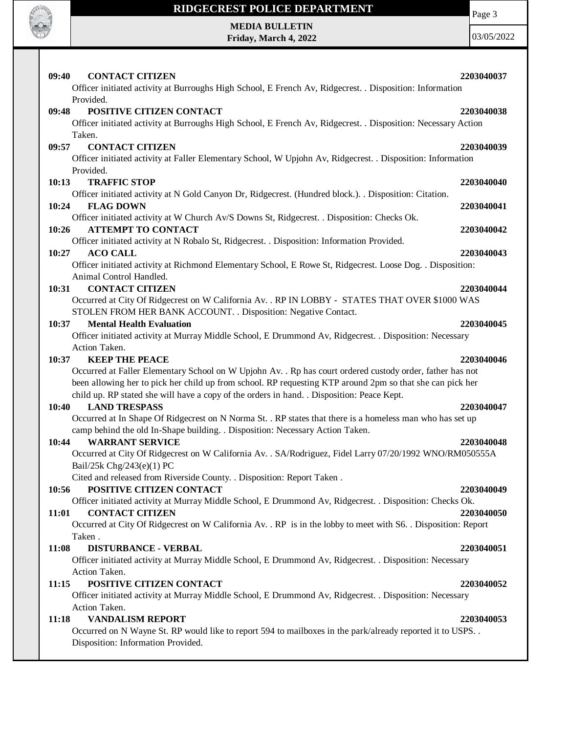

**Friday, March 4, 2022**

Page 3

| 09:40<br><b>CONTACT CITIZEN</b><br>Officer initiated activity at Burroughs High School, E French Av, Ridgecrest. . Disposition: Information                                                                                                                                                                                                            | 2203040037               |
|--------------------------------------------------------------------------------------------------------------------------------------------------------------------------------------------------------------------------------------------------------------------------------------------------------------------------------------------------------|--------------------------|
| Provided.<br>POSITIVE CITIZEN CONTACT<br>09:48<br>Officer initiated activity at Burroughs High School, E French Av, Ridgecrest. . Disposition: Necessary Action<br>Taken.                                                                                                                                                                              | 2203040038               |
| 09:57<br><b>CONTACT CITIZEN</b><br>Officer initiated activity at Faller Elementary School, W Upjohn Av, Ridgecrest. . Disposition: Information<br>Provided.                                                                                                                                                                                            | 2203040039               |
| <b>TRAFFIC STOP</b><br>10:13<br>Officer initiated activity at N Gold Canyon Dr, Ridgecrest. (Hundred block.). . Disposition: Citation.                                                                                                                                                                                                                 | 2203040040               |
| <b>FLAG DOWN</b><br>10:24<br>Officer initiated activity at W Church Av/S Downs St, Ridgecrest. . Disposition: Checks Ok.<br><b>ATTEMPT TO CONTACT</b><br>10:26                                                                                                                                                                                         | 2203040041<br>2203040042 |
| Officer initiated activity at N Robalo St, Ridgecrest. . Disposition: Information Provided.<br><b>ACO CALL</b><br>10:27<br>Officer initiated activity at Richmond Elementary School, E Rowe St, Ridgecrest. Loose Dog. . Disposition:                                                                                                                  | 2203040043               |
| Animal Control Handled.<br><b>CONTACT CITIZEN</b><br>10:31<br>Occurred at City Of Ridgecrest on W California Av. . RP IN LOBBY - STATES THAT OVER \$1000 WAS                                                                                                                                                                                           | 2203040044               |
| STOLEN FROM HER BANK ACCOUNT. . Disposition: Negative Contact.<br><b>Mental Health Evaluation</b><br>10:37<br>Officer initiated activity at Murray Middle School, E Drummond Av, Ridgecrest. . Disposition: Necessary<br>Action Taken.                                                                                                                 | 2203040045               |
| <b>KEEP THE PEACE</b><br>10:37<br>Occurred at Faller Elementary School on W Upjohn Av. . Rp has court ordered custody order, father has not<br>been allowing her to pick her child up from school. RP requesting KTP around 2pm so that she can pick her<br>child up. RP stated she will have a copy of the orders in hand. . Disposition: Peace Kept. | 2203040046               |
| <b>LAND TRESPASS</b><br>10:40<br>Occurred at In Shape Of Ridgecrest on N Norma St. . RP states that there is a homeless man who has set up<br>camp behind the old In-Shape building. . Disposition: Necessary Action Taken.                                                                                                                            | 2203040047               |
| <b>WARRANT SERVICE</b><br>10:44<br>Occurred at City Of Ridgecrest on W California Av. . SA/Rodriguez, Fidel Larry 07/20/1992 WNO/RM050555A<br>Bail/25k Chg/243(e)(1) PC                                                                                                                                                                                | 2203040048               |
| Cited and released from Riverside County. . Disposition: Report Taken.<br>POSITIVE CITIZEN CONTACT<br>10:56<br>Officer initiated activity at Murray Middle School, E Drummond Av, Ridgecrest. . Disposition: Checks Ok.                                                                                                                                | 2203040049               |
| <b>CONTACT CITIZEN</b><br>11:01<br>Occurred at City Of Ridgecrest on W California Av. . RP is in the lobby to meet with S6. . Disposition: Report<br>Taken.                                                                                                                                                                                            | 2203040050               |
| <b>DISTURBANCE - VERBAL</b><br>11:08<br>Officer initiated activity at Murray Middle School, E Drummond Av, Ridgecrest. . Disposition: Necessary<br>Action Taken.                                                                                                                                                                                       | 2203040051               |
| POSITIVE CITIZEN CONTACT<br>11:15<br>Officer initiated activity at Murray Middle School, E Drummond Av, Ridgecrest. . Disposition: Necessary                                                                                                                                                                                                           | 2203040052               |
| Action Taken.<br><b>VANDALISM REPORT</b><br>11:18<br>Occurred on N Wayne St. RP would like to report 594 to mailboxes in the park/already reported it to USPS<br>Disposition: Information Provided.                                                                                                                                                    | 2203040053               |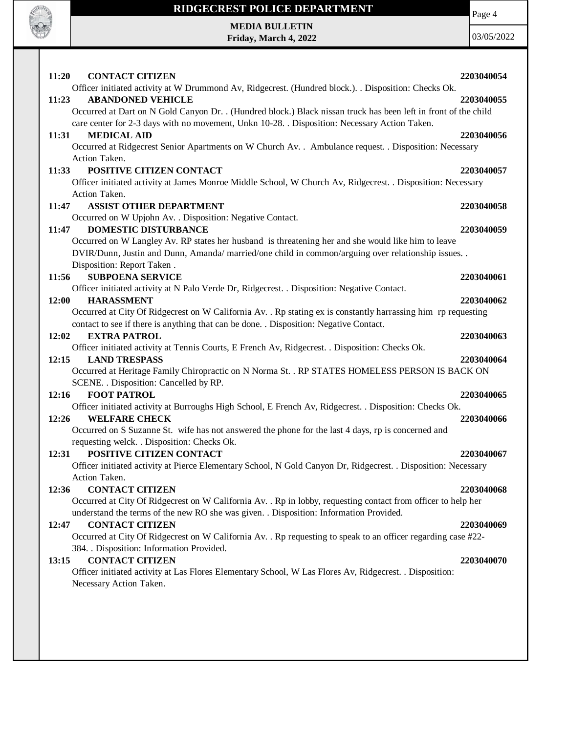

**Friday, March 4, 2022**

Page 4

| 11:20<br><b>CONTACT CITIZEN</b><br>2203040054<br>Officer initiated activity at W Drummond Av, Ridgecrest. (Hundred block.). . Disposition: Checks Ok.<br><b>ABANDONED VEHICLE</b><br>11:23<br>2203040055<br>Occurred at Dart on N Gold Canyon Dr. . (Hundred block.) Black nissan truck has been left in front of the child<br>care center for 2-3 days with no movement, Unkn 10-28. . Disposition: Necessary Action Taken.<br><b>MEDICAL AID</b><br>11:31<br>2203040056<br>Occurred at Ridgecrest Senior Apartments on W Church Av. . Ambulance request. . Disposition: Necessary<br>Action Taken.<br>POSITIVE CITIZEN CONTACT<br>11:33<br>2203040057<br>Officer initiated activity at James Monroe Middle School, W Church Av, Ridgecrest. . Disposition: Necessary<br>Action Taken.<br><b>ASSIST OTHER DEPARTMENT</b><br>11:47<br>2203040058<br>Occurred on W Upjohn Av. . Disposition: Negative Contact.<br><b>DOMESTIC DISTURBANCE</b><br>11:47<br>2203040059<br>Occurred on W Langley Av. RP states her husband is threatening her and she would like him to leave<br>DVIR/Dunn, Justin and Dunn, Amanda/ married/one child in common/arguing over relationship issues. .<br>Disposition: Report Taken.<br><b>SUBPOENA SERVICE</b><br>11:56<br>2203040061<br>Officer initiated activity at N Palo Verde Dr, Ridgecrest. . Disposition: Negative Contact.<br><b>HARASSMENT</b><br>12:00<br>2203040062<br>Occurred at City Of Ridgecrest on W California Av. . Rp stating ex is constantly harrassing him rp requesting<br>contact to see if there is anything that can be done. . Disposition: Negative Contact.<br>12:02<br><b>EXTRA PATROL</b><br>2203040063<br>Officer initiated activity at Tennis Courts, E French Av, Ridgecrest. . Disposition: Checks Ok.<br><b>LAND TRESPASS</b><br>12:15<br>2203040064<br>Occurred at Heritage Family Chiropractic on N Norma St. . RP STATES HOMELESS PERSON IS BACK ON<br>SCENE. . Disposition: Cancelled by RP.<br><b>FOOT PATROL</b><br>12:16<br>2203040065<br>Officer initiated activity at Burroughs High School, E French Av, Ridgecrest. . Disposition: Checks Ok.<br>12:26<br><b>WELFARE CHECK</b><br>2203040066<br>Occurred on S Suzanne St. wife has not answered the phone for the last 4 days, rp is concerned and<br>requesting welck. . Disposition: Checks Ok.<br>POSITIVE CITIZEN CONTACT<br>12:31<br>2203040067<br>Officer initiated activity at Pierce Elementary School, N Gold Canyon Dr, Ridgecrest. . Disposition: Necessary<br>Action Taken.<br><b>CONTACT CITIZEN</b><br>12:36<br>2203040068<br>Occurred at City Of Ridgecrest on W California Av. . Rp in lobby, requesting contact from officer to help her<br>understand the terms of the new RO she was given. . Disposition: Information Provided.<br><b>CONTACT CITIZEN</b><br>12:47<br>2203040069<br>Occurred at City Of Ridgecrest on W California Av. . Rp requesting to speak to an officer regarding case #22-<br>384. Disposition: Information Provided.<br><b>CONTACT CITIZEN</b><br>13:15<br>2203040070<br>Officer initiated activity at Las Flores Elementary School, W Las Flores Av, Ridgecrest. . Disposition: |
|-----------------------------------------------------------------------------------------------------------------------------------------------------------------------------------------------------------------------------------------------------------------------------------------------------------------------------------------------------------------------------------------------------------------------------------------------------------------------------------------------------------------------------------------------------------------------------------------------------------------------------------------------------------------------------------------------------------------------------------------------------------------------------------------------------------------------------------------------------------------------------------------------------------------------------------------------------------------------------------------------------------------------------------------------------------------------------------------------------------------------------------------------------------------------------------------------------------------------------------------------------------------------------------------------------------------------------------------------------------------------------------------------------------------------------------------------------------------------------------------------------------------------------------------------------------------------------------------------------------------------------------------------------------------------------------------------------------------------------------------------------------------------------------------------------------------------------------------------------------------------------------------------------------------------------------------------------------------------------------------------------------------------------------------------------------------------------------------------------------------------------------------------------------------------------------------------------------------------------------------------------------------------------------------------------------------------------------------------------------------------------------------------------------------------------------------------------------------------------------------------------------------------------------------------------------------------------------------------------------------------------------------------------------------------------------------------------------------------------------------------------------------------------------------------------------------------------------------------------------------------------------------------------------------------------------------------------------------------------------------------------------------------------------------------------------------------------------------------------------------------------------------------------------|
|                                                                                                                                                                                                                                                                                                                                                                                                                                                                                                                                                                                                                                                                                                                                                                                                                                                                                                                                                                                                                                                                                                                                                                                                                                                                                                                                                                                                                                                                                                                                                                                                                                                                                                                                                                                                                                                                                                                                                                                                                                                                                                                                                                                                                                                                                                                                                                                                                                                                                                                                                                                                                                                                                                                                                                                                                                                                                                                                                                                                                                                                                                                                                           |
|                                                                                                                                                                                                                                                                                                                                                                                                                                                                                                                                                                                                                                                                                                                                                                                                                                                                                                                                                                                                                                                                                                                                                                                                                                                                                                                                                                                                                                                                                                                                                                                                                                                                                                                                                                                                                                                                                                                                                                                                                                                                                                                                                                                                                                                                                                                                                                                                                                                                                                                                                                                                                                                                                                                                                                                                                                                                                                                                                                                                                                                                                                                                                           |
|                                                                                                                                                                                                                                                                                                                                                                                                                                                                                                                                                                                                                                                                                                                                                                                                                                                                                                                                                                                                                                                                                                                                                                                                                                                                                                                                                                                                                                                                                                                                                                                                                                                                                                                                                                                                                                                                                                                                                                                                                                                                                                                                                                                                                                                                                                                                                                                                                                                                                                                                                                                                                                                                                                                                                                                                                                                                                                                                                                                                                                                                                                                                                           |
|                                                                                                                                                                                                                                                                                                                                                                                                                                                                                                                                                                                                                                                                                                                                                                                                                                                                                                                                                                                                                                                                                                                                                                                                                                                                                                                                                                                                                                                                                                                                                                                                                                                                                                                                                                                                                                                                                                                                                                                                                                                                                                                                                                                                                                                                                                                                                                                                                                                                                                                                                                                                                                                                                                                                                                                                                                                                                                                                                                                                                                                                                                                                                           |
|                                                                                                                                                                                                                                                                                                                                                                                                                                                                                                                                                                                                                                                                                                                                                                                                                                                                                                                                                                                                                                                                                                                                                                                                                                                                                                                                                                                                                                                                                                                                                                                                                                                                                                                                                                                                                                                                                                                                                                                                                                                                                                                                                                                                                                                                                                                                                                                                                                                                                                                                                                                                                                                                                                                                                                                                                                                                                                                                                                                                                                                                                                                                                           |
|                                                                                                                                                                                                                                                                                                                                                                                                                                                                                                                                                                                                                                                                                                                                                                                                                                                                                                                                                                                                                                                                                                                                                                                                                                                                                                                                                                                                                                                                                                                                                                                                                                                                                                                                                                                                                                                                                                                                                                                                                                                                                                                                                                                                                                                                                                                                                                                                                                                                                                                                                                                                                                                                                                                                                                                                                                                                                                                                                                                                                                                                                                                                                           |
|                                                                                                                                                                                                                                                                                                                                                                                                                                                                                                                                                                                                                                                                                                                                                                                                                                                                                                                                                                                                                                                                                                                                                                                                                                                                                                                                                                                                                                                                                                                                                                                                                                                                                                                                                                                                                                                                                                                                                                                                                                                                                                                                                                                                                                                                                                                                                                                                                                                                                                                                                                                                                                                                                                                                                                                                                                                                                                                                                                                                                                                                                                                                                           |
|                                                                                                                                                                                                                                                                                                                                                                                                                                                                                                                                                                                                                                                                                                                                                                                                                                                                                                                                                                                                                                                                                                                                                                                                                                                                                                                                                                                                                                                                                                                                                                                                                                                                                                                                                                                                                                                                                                                                                                                                                                                                                                                                                                                                                                                                                                                                                                                                                                                                                                                                                                                                                                                                                                                                                                                                                                                                                                                                                                                                                                                                                                                                                           |
|                                                                                                                                                                                                                                                                                                                                                                                                                                                                                                                                                                                                                                                                                                                                                                                                                                                                                                                                                                                                                                                                                                                                                                                                                                                                                                                                                                                                                                                                                                                                                                                                                                                                                                                                                                                                                                                                                                                                                                                                                                                                                                                                                                                                                                                                                                                                                                                                                                                                                                                                                                                                                                                                                                                                                                                                                                                                                                                                                                                                                                                                                                                                                           |
|                                                                                                                                                                                                                                                                                                                                                                                                                                                                                                                                                                                                                                                                                                                                                                                                                                                                                                                                                                                                                                                                                                                                                                                                                                                                                                                                                                                                                                                                                                                                                                                                                                                                                                                                                                                                                                                                                                                                                                                                                                                                                                                                                                                                                                                                                                                                                                                                                                                                                                                                                                                                                                                                                                                                                                                                                                                                                                                                                                                                                                                                                                                                                           |
|                                                                                                                                                                                                                                                                                                                                                                                                                                                                                                                                                                                                                                                                                                                                                                                                                                                                                                                                                                                                                                                                                                                                                                                                                                                                                                                                                                                                                                                                                                                                                                                                                                                                                                                                                                                                                                                                                                                                                                                                                                                                                                                                                                                                                                                                                                                                                                                                                                                                                                                                                                                                                                                                                                                                                                                                                                                                                                                                                                                                                                                                                                                                                           |
|                                                                                                                                                                                                                                                                                                                                                                                                                                                                                                                                                                                                                                                                                                                                                                                                                                                                                                                                                                                                                                                                                                                                                                                                                                                                                                                                                                                                                                                                                                                                                                                                                                                                                                                                                                                                                                                                                                                                                                                                                                                                                                                                                                                                                                                                                                                                                                                                                                                                                                                                                                                                                                                                                                                                                                                                                                                                                                                                                                                                                                                                                                                                                           |
|                                                                                                                                                                                                                                                                                                                                                                                                                                                                                                                                                                                                                                                                                                                                                                                                                                                                                                                                                                                                                                                                                                                                                                                                                                                                                                                                                                                                                                                                                                                                                                                                                                                                                                                                                                                                                                                                                                                                                                                                                                                                                                                                                                                                                                                                                                                                                                                                                                                                                                                                                                                                                                                                                                                                                                                                                                                                                                                                                                                                                                                                                                                                                           |
|                                                                                                                                                                                                                                                                                                                                                                                                                                                                                                                                                                                                                                                                                                                                                                                                                                                                                                                                                                                                                                                                                                                                                                                                                                                                                                                                                                                                                                                                                                                                                                                                                                                                                                                                                                                                                                                                                                                                                                                                                                                                                                                                                                                                                                                                                                                                                                                                                                                                                                                                                                                                                                                                                                                                                                                                                                                                                                                                                                                                                                                                                                                                                           |
|                                                                                                                                                                                                                                                                                                                                                                                                                                                                                                                                                                                                                                                                                                                                                                                                                                                                                                                                                                                                                                                                                                                                                                                                                                                                                                                                                                                                                                                                                                                                                                                                                                                                                                                                                                                                                                                                                                                                                                                                                                                                                                                                                                                                                                                                                                                                                                                                                                                                                                                                                                                                                                                                                                                                                                                                                                                                                                                                                                                                                                                                                                                                                           |
|                                                                                                                                                                                                                                                                                                                                                                                                                                                                                                                                                                                                                                                                                                                                                                                                                                                                                                                                                                                                                                                                                                                                                                                                                                                                                                                                                                                                                                                                                                                                                                                                                                                                                                                                                                                                                                                                                                                                                                                                                                                                                                                                                                                                                                                                                                                                                                                                                                                                                                                                                                                                                                                                                                                                                                                                                                                                                                                                                                                                                                                                                                                                                           |
|                                                                                                                                                                                                                                                                                                                                                                                                                                                                                                                                                                                                                                                                                                                                                                                                                                                                                                                                                                                                                                                                                                                                                                                                                                                                                                                                                                                                                                                                                                                                                                                                                                                                                                                                                                                                                                                                                                                                                                                                                                                                                                                                                                                                                                                                                                                                                                                                                                                                                                                                                                                                                                                                                                                                                                                                                                                                                                                                                                                                                                                                                                                                                           |
|                                                                                                                                                                                                                                                                                                                                                                                                                                                                                                                                                                                                                                                                                                                                                                                                                                                                                                                                                                                                                                                                                                                                                                                                                                                                                                                                                                                                                                                                                                                                                                                                                                                                                                                                                                                                                                                                                                                                                                                                                                                                                                                                                                                                                                                                                                                                                                                                                                                                                                                                                                                                                                                                                                                                                                                                                                                                                                                                                                                                                                                                                                                                                           |
|                                                                                                                                                                                                                                                                                                                                                                                                                                                                                                                                                                                                                                                                                                                                                                                                                                                                                                                                                                                                                                                                                                                                                                                                                                                                                                                                                                                                                                                                                                                                                                                                                                                                                                                                                                                                                                                                                                                                                                                                                                                                                                                                                                                                                                                                                                                                                                                                                                                                                                                                                                                                                                                                                                                                                                                                                                                                                                                                                                                                                                                                                                                                                           |
|                                                                                                                                                                                                                                                                                                                                                                                                                                                                                                                                                                                                                                                                                                                                                                                                                                                                                                                                                                                                                                                                                                                                                                                                                                                                                                                                                                                                                                                                                                                                                                                                                                                                                                                                                                                                                                                                                                                                                                                                                                                                                                                                                                                                                                                                                                                                                                                                                                                                                                                                                                                                                                                                                                                                                                                                                                                                                                                                                                                                                                                                                                                                                           |
|                                                                                                                                                                                                                                                                                                                                                                                                                                                                                                                                                                                                                                                                                                                                                                                                                                                                                                                                                                                                                                                                                                                                                                                                                                                                                                                                                                                                                                                                                                                                                                                                                                                                                                                                                                                                                                                                                                                                                                                                                                                                                                                                                                                                                                                                                                                                                                                                                                                                                                                                                                                                                                                                                                                                                                                                                                                                                                                                                                                                                                                                                                                                                           |
|                                                                                                                                                                                                                                                                                                                                                                                                                                                                                                                                                                                                                                                                                                                                                                                                                                                                                                                                                                                                                                                                                                                                                                                                                                                                                                                                                                                                                                                                                                                                                                                                                                                                                                                                                                                                                                                                                                                                                                                                                                                                                                                                                                                                                                                                                                                                                                                                                                                                                                                                                                                                                                                                                                                                                                                                                                                                                                                                                                                                                                                                                                                                                           |
|                                                                                                                                                                                                                                                                                                                                                                                                                                                                                                                                                                                                                                                                                                                                                                                                                                                                                                                                                                                                                                                                                                                                                                                                                                                                                                                                                                                                                                                                                                                                                                                                                                                                                                                                                                                                                                                                                                                                                                                                                                                                                                                                                                                                                                                                                                                                                                                                                                                                                                                                                                                                                                                                                                                                                                                                                                                                                                                                                                                                                                                                                                                                                           |
|                                                                                                                                                                                                                                                                                                                                                                                                                                                                                                                                                                                                                                                                                                                                                                                                                                                                                                                                                                                                                                                                                                                                                                                                                                                                                                                                                                                                                                                                                                                                                                                                                                                                                                                                                                                                                                                                                                                                                                                                                                                                                                                                                                                                                                                                                                                                                                                                                                                                                                                                                                                                                                                                                                                                                                                                                                                                                                                                                                                                                                                                                                                                                           |
|                                                                                                                                                                                                                                                                                                                                                                                                                                                                                                                                                                                                                                                                                                                                                                                                                                                                                                                                                                                                                                                                                                                                                                                                                                                                                                                                                                                                                                                                                                                                                                                                                                                                                                                                                                                                                                                                                                                                                                                                                                                                                                                                                                                                                                                                                                                                                                                                                                                                                                                                                                                                                                                                                                                                                                                                                                                                                                                                                                                                                                                                                                                                                           |
|                                                                                                                                                                                                                                                                                                                                                                                                                                                                                                                                                                                                                                                                                                                                                                                                                                                                                                                                                                                                                                                                                                                                                                                                                                                                                                                                                                                                                                                                                                                                                                                                                                                                                                                                                                                                                                                                                                                                                                                                                                                                                                                                                                                                                                                                                                                                                                                                                                                                                                                                                                                                                                                                                                                                                                                                                                                                                                                                                                                                                                                                                                                                                           |
|                                                                                                                                                                                                                                                                                                                                                                                                                                                                                                                                                                                                                                                                                                                                                                                                                                                                                                                                                                                                                                                                                                                                                                                                                                                                                                                                                                                                                                                                                                                                                                                                                                                                                                                                                                                                                                                                                                                                                                                                                                                                                                                                                                                                                                                                                                                                                                                                                                                                                                                                                                                                                                                                                                                                                                                                                                                                                                                                                                                                                                                                                                                                                           |
|                                                                                                                                                                                                                                                                                                                                                                                                                                                                                                                                                                                                                                                                                                                                                                                                                                                                                                                                                                                                                                                                                                                                                                                                                                                                                                                                                                                                                                                                                                                                                                                                                                                                                                                                                                                                                                                                                                                                                                                                                                                                                                                                                                                                                                                                                                                                                                                                                                                                                                                                                                                                                                                                                                                                                                                                                                                                                                                                                                                                                                                                                                                                                           |
|                                                                                                                                                                                                                                                                                                                                                                                                                                                                                                                                                                                                                                                                                                                                                                                                                                                                                                                                                                                                                                                                                                                                                                                                                                                                                                                                                                                                                                                                                                                                                                                                                                                                                                                                                                                                                                                                                                                                                                                                                                                                                                                                                                                                                                                                                                                                                                                                                                                                                                                                                                                                                                                                                                                                                                                                                                                                                                                                                                                                                                                                                                                                                           |
|                                                                                                                                                                                                                                                                                                                                                                                                                                                                                                                                                                                                                                                                                                                                                                                                                                                                                                                                                                                                                                                                                                                                                                                                                                                                                                                                                                                                                                                                                                                                                                                                                                                                                                                                                                                                                                                                                                                                                                                                                                                                                                                                                                                                                                                                                                                                                                                                                                                                                                                                                                                                                                                                                                                                                                                                                                                                                                                                                                                                                                                                                                                                                           |
|                                                                                                                                                                                                                                                                                                                                                                                                                                                                                                                                                                                                                                                                                                                                                                                                                                                                                                                                                                                                                                                                                                                                                                                                                                                                                                                                                                                                                                                                                                                                                                                                                                                                                                                                                                                                                                                                                                                                                                                                                                                                                                                                                                                                                                                                                                                                                                                                                                                                                                                                                                                                                                                                                                                                                                                                                                                                                                                                                                                                                                                                                                                                                           |
|                                                                                                                                                                                                                                                                                                                                                                                                                                                                                                                                                                                                                                                                                                                                                                                                                                                                                                                                                                                                                                                                                                                                                                                                                                                                                                                                                                                                                                                                                                                                                                                                                                                                                                                                                                                                                                                                                                                                                                                                                                                                                                                                                                                                                                                                                                                                                                                                                                                                                                                                                                                                                                                                                                                                                                                                                                                                                                                                                                                                                                                                                                                                                           |
|                                                                                                                                                                                                                                                                                                                                                                                                                                                                                                                                                                                                                                                                                                                                                                                                                                                                                                                                                                                                                                                                                                                                                                                                                                                                                                                                                                                                                                                                                                                                                                                                                                                                                                                                                                                                                                                                                                                                                                                                                                                                                                                                                                                                                                                                                                                                                                                                                                                                                                                                                                                                                                                                                                                                                                                                                                                                                                                                                                                                                                                                                                                                                           |
|                                                                                                                                                                                                                                                                                                                                                                                                                                                                                                                                                                                                                                                                                                                                                                                                                                                                                                                                                                                                                                                                                                                                                                                                                                                                                                                                                                                                                                                                                                                                                                                                                                                                                                                                                                                                                                                                                                                                                                                                                                                                                                                                                                                                                                                                                                                                                                                                                                                                                                                                                                                                                                                                                                                                                                                                                                                                                                                                                                                                                                                                                                                                                           |
|                                                                                                                                                                                                                                                                                                                                                                                                                                                                                                                                                                                                                                                                                                                                                                                                                                                                                                                                                                                                                                                                                                                                                                                                                                                                                                                                                                                                                                                                                                                                                                                                                                                                                                                                                                                                                                                                                                                                                                                                                                                                                                                                                                                                                                                                                                                                                                                                                                                                                                                                                                                                                                                                                                                                                                                                                                                                                                                                                                                                                                                                                                                                                           |
|                                                                                                                                                                                                                                                                                                                                                                                                                                                                                                                                                                                                                                                                                                                                                                                                                                                                                                                                                                                                                                                                                                                                                                                                                                                                                                                                                                                                                                                                                                                                                                                                                                                                                                                                                                                                                                                                                                                                                                                                                                                                                                                                                                                                                                                                                                                                                                                                                                                                                                                                                                                                                                                                                                                                                                                                                                                                                                                                                                                                                                                                                                                                                           |
|                                                                                                                                                                                                                                                                                                                                                                                                                                                                                                                                                                                                                                                                                                                                                                                                                                                                                                                                                                                                                                                                                                                                                                                                                                                                                                                                                                                                                                                                                                                                                                                                                                                                                                                                                                                                                                                                                                                                                                                                                                                                                                                                                                                                                                                                                                                                                                                                                                                                                                                                                                                                                                                                                                                                                                                                                                                                                                                                                                                                                                                                                                                                                           |
|                                                                                                                                                                                                                                                                                                                                                                                                                                                                                                                                                                                                                                                                                                                                                                                                                                                                                                                                                                                                                                                                                                                                                                                                                                                                                                                                                                                                                                                                                                                                                                                                                                                                                                                                                                                                                                                                                                                                                                                                                                                                                                                                                                                                                                                                                                                                                                                                                                                                                                                                                                                                                                                                                                                                                                                                                                                                                                                                                                                                                                                                                                                                                           |
|                                                                                                                                                                                                                                                                                                                                                                                                                                                                                                                                                                                                                                                                                                                                                                                                                                                                                                                                                                                                                                                                                                                                                                                                                                                                                                                                                                                                                                                                                                                                                                                                                                                                                                                                                                                                                                                                                                                                                                                                                                                                                                                                                                                                                                                                                                                                                                                                                                                                                                                                                                                                                                                                                                                                                                                                                                                                                                                                                                                                                                                                                                                                                           |
|                                                                                                                                                                                                                                                                                                                                                                                                                                                                                                                                                                                                                                                                                                                                                                                                                                                                                                                                                                                                                                                                                                                                                                                                                                                                                                                                                                                                                                                                                                                                                                                                                                                                                                                                                                                                                                                                                                                                                                                                                                                                                                                                                                                                                                                                                                                                                                                                                                                                                                                                                                                                                                                                                                                                                                                                                                                                                                                                                                                                                                                                                                                                                           |
|                                                                                                                                                                                                                                                                                                                                                                                                                                                                                                                                                                                                                                                                                                                                                                                                                                                                                                                                                                                                                                                                                                                                                                                                                                                                                                                                                                                                                                                                                                                                                                                                                                                                                                                                                                                                                                                                                                                                                                                                                                                                                                                                                                                                                                                                                                                                                                                                                                                                                                                                                                                                                                                                                                                                                                                                                                                                                                                                                                                                                                                                                                                                                           |
| Necessary Action Taken.                                                                                                                                                                                                                                                                                                                                                                                                                                                                                                                                                                                                                                                                                                                                                                                                                                                                                                                                                                                                                                                                                                                                                                                                                                                                                                                                                                                                                                                                                                                                                                                                                                                                                                                                                                                                                                                                                                                                                                                                                                                                                                                                                                                                                                                                                                                                                                                                                                                                                                                                                                                                                                                                                                                                                                                                                                                                                                                                                                                                                                                                                                                                   |
|                                                                                                                                                                                                                                                                                                                                                                                                                                                                                                                                                                                                                                                                                                                                                                                                                                                                                                                                                                                                                                                                                                                                                                                                                                                                                                                                                                                                                                                                                                                                                                                                                                                                                                                                                                                                                                                                                                                                                                                                                                                                                                                                                                                                                                                                                                                                                                                                                                                                                                                                                                                                                                                                                                                                                                                                                                                                                                                                                                                                                                                                                                                                                           |
|                                                                                                                                                                                                                                                                                                                                                                                                                                                                                                                                                                                                                                                                                                                                                                                                                                                                                                                                                                                                                                                                                                                                                                                                                                                                                                                                                                                                                                                                                                                                                                                                                                                                                                                                                                                                                                                                                                                                                                                                                                                                                                                                                                                                                                                                                                                                                                                                                                                                                                                                                                                                                                                                                                                                                                                                                                                                                                                                                                                                                                                                                                                                                           |
|                                                                                                                                                                                                                                                                                                                                                                                                                                                                                                                                                                                                                                                                                                                                                                                                                                                                                                                                                                                                                                                                                                                                                                                                                                                                                                                                                                                                                                                                                                                                                                                                                                                                                                                                                                                                                                                                                                                                                                                                                                                                                                                                                                                                                                                                                                                                                                                                                                                                                                                                                                                                                                                                                                                                                                                                                                                                                                                                                                                                                                                                                                                                                           |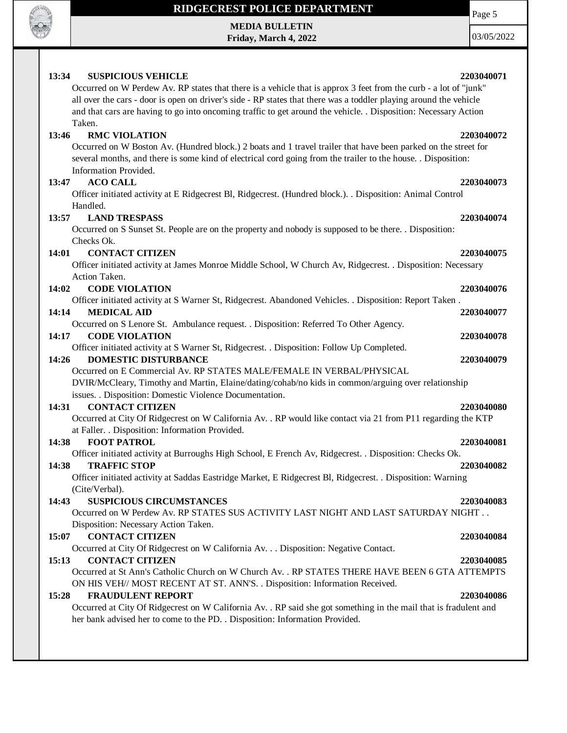

# **RIDGECREST POLICE DEPARTMENT**

**MEDIA BULLETIN Friday, March 4, 2022** Page 5

| <b>SUSPICIOUS VEHICLE</b><br>13:34                                                                                | 2203040071 |
|-------------------------------------------------------------------------------------------------------------------|------------|
| Occurred on W Perdew Av. RP states that there is a vehicle that is approx 3 feet from the curb - a lot of "junk"  |            |
| all over the cars - door is open on driver's side - RP states that there was a toddler playing around the vehicle |            |
| and that cars are having to go into oncoming traffic to get around the vehicle. Disposition: Necessary Action     |            |
| Taken.                                                                                                            |            |
| 13:46<br><b>RMC VIOLATION</b>                                                                                     | 2203040072 |
| Occurred on W Boston Av. (Hundred block.) 2 boats and 1 travel trailer that have been parked on the street for    |            |
| several months, and there is some kind of electrical cord going from the trailer to the house. . Disposition:     |            |
| Information Provided.                                                                                             |            |
| <b>ACO CALL</b><br>13:47                                                                                          | 2203040073 |
| Officer initiated activity at E Ridgecrest Bl, Ridgecrest. (Hundred block.). . Disposition: Animal Control        |            |
| Handled.                                                                                                          |            |
| 13:57<br><b>LAND TRESPASS</b>                                                                                     | 2203040074 |
| Occurred on S Sunset St. People are on the property and nobody is supposed to be there. . Disposition:            |            |
| Checks Ok.                                                                                                        |            |
| <b>CONTACT CITIZEN</b><br>14:01                                                                                   | 2203040075 |
| Officer initiated activity at James Monroe Middle School, W Church Av, Ridgecrest. . Disposition: Necessary       |            |
| Action Taken.                                                                                                     |            |
| 14:02<br><b>CODE VIOLATION</b>                                                                                    | 2203040076 |
| Officer initiated activity at S Warner St, Ridgecrest. Abandoned Vehicles. . Disposition: Report Taken.           |            |
| <b>MEDICAL AID</b><br>14:14                                                                                       | 2203040077 |
| Occurred on S Lenore St. Ambulance request. . Disposition: Referred To Other Agency.                              |            |
| 14:17<br><b>CODE VIOLATION</b>                                                                                    | 2203040078 |
| Officer initiated activity at S Warner St, Ridgecrest. . Disposition: Follow Up Completed.                        |            |
| <b>DOMESTIC DISTURBANCE</b><br>14:26                                                                              | 2203040079 |
| Occurred on E Commercial Av. RP STATES MALE/FEMALE IN VERBAL/PHYSICAL                                             |            |
| DVIR/McCleary, Timothy and Martin, Elaine/dating/cohab/no kids in common/arguing over relationship                |            |
| issues. . Disposition: Domestic Violence Documentation.<br><b>CONTACT CITIZEN</b><br>14:31                        | 2203040080 |
| Occurred at City Of Ridgecrest on W California Av. . RP would like contact via 21 from P11 regarding the KTP      |            |
| at Faller. . Disposition: Information Provided.                                                                   |            |
| <b>FOOT PATROL</b><br>14:38                                                                                       | 2203040081 |
| Officer initiated activity at Burroughs High School, E French Av, Ridgecrest. . Disposition: Checks Ok.           |            |
| <b>TRAFFIC STOP</b><br>14:38                                                                                      | 2203040082 |
| Officer initiated activity at Saddas Eastridge Market, E Ridgecrest Bl, Ridgecrest. . Disposition: Warning        |            |
| (Cite/Verbal).                                                                                                    |            |
| 14:43<br><b>SUSPICIOUS CIRCUMSTANCES</b>                                                                          | 2203040083 |
| Occurred on W Perdew Av. RP STATES SUS ACTIVITY LAST NIGHT AND LAST SATURDAY NIGHT                                |            |
| Disposition: Necessary Action Taken.                                                                              |            |
| <b>CONTACT CITIZEN</b><br>15:07                                                                                   | 2203040084 |
| Occurred at City Of Ridgecrest on W California Av. Disposition: Negative Contact.                                 |            |
| <b>CONTACT CITIZEN</b><br>15:13                                                                                   | 2203040085 |
| Occurred at St Ann's Catholic Church on W Church Av. . RP STATES THERE HAVE BEEN 6 GTA ATTEMPTS                   |            |
| ON HIS VEH// MOST RECENT AT ST. ANN'S. . Disposition: Information Received.                                       |            |
| 15:28<br><b>FRAUDULENT REPORT</b>                                                                                 | 2203040086 |
| Occurred at City Of Ridgecrest on W California Av. . RP said she got something in the mail that is fradulent and  |            |
| her bank advised her to come to the PD. . Disposition: Information Provided.                                      |            |
|                                                                                                                   |            |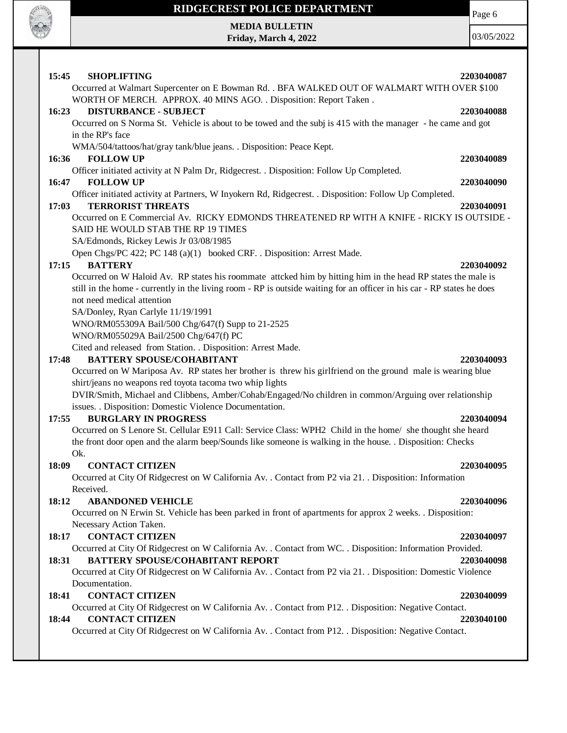

 $\mathbf{I}$ 

## **RIDGECREST POLICE DEPARTMENT**

**MEDIA BULLETIN Friday, March 4, 2022** Page 6

| 15:45<br><b>SHOPLIFTING</b><br>Occurred at Walmart Supercenter on E Bowman Rd. . BFA WALKED OUT OF WALMART WITH OVER \$100                                                                                                                                           | 2203040087 |
|----------------------------------------------------------------------------------------------------------------------------------------------------------------------------------------------------------------------------------------------------------------------|------------|
| WORTH OF MERCH. APPROX. 40 MINS AGO. . Disposition: Report Taken.                                                                                                                                                                                                    |            |
| <b>DISTURBANCE - SUBJECT</b><br>16:23<br>Occurred on S Norma St. Vehicle is about to be towed and the subj is 415 with the manager - he came and got<br>in the RP's face                                                                                             | 2203040088 |
| WMA/504/tattoos/hat/gray tank/blue jeans. . Disposition: Peace Kept.                                                                                                                                                                                                 |            |
| 16:36<br><b>FOLLOW UP</b>                                                                                                                                                                                                                                            | 2203040089 |
| Officer initiated activity at N Palm Dr, Ridgecrest. . Disposition: Follow Up Completed.<br>16:47<br><b>FOLLOW UP</b>                                                                                                                                                | 2203040090 |
| Officer initiated activity at Partners, W Inyokern Rd, Ridgecrest. . Disposition: Follow Up Completed.                                                                                                                                                               |            |
| <b>TERRORIST THREATS</b><br>17:03                                                                                                                                                                                                                                    | 2203040091 |
| Occurred on E Commercial Av. RICKY EDMONDS THREATENED RP WITH A KNIFE - RICKY IS OUTSIDE -<br>SAID HE WOULD STAB THE RP 19 TIMES<br>SA/Edmonds, Rickey Lewis Jr 03/08/1985                                                                                           |            |
| Open Chgs/PC 422; PC 148 (a)(1) booked CRF. . Disposition: Arrest Made.                                                                                                                                                                                              |            |
| <b>BATTERY</b><br>17:15                                                                                                                                                                                                                                              | 2203040092 |
| Occurred on W Haloid Av. RP states his roommate attcked him by hitting him in the head RP states the male is<br>still in the home - currently in the living room - RP is outside waiting for an officer in his car - RP states he does<br>not need medical attention |            |
| SA/Donley, Ryan Carlyle 11/19/1991<br>WNO/RM055309A Bail/500 Chg/647(f) Supp to 21-2525                                                                                                                                                                              |            |
| WNO/RM055029A Bail/2500 Chg/647(f) PC                                                                                                                                                                                                                                |            |
| Cited and released from Station. . Disposition: Arrest Made.                                                                                                                                                                                                         |            |
| <b>BATTERY SPOUSE/COHABITANT</b><br>17:48                                                                                                                                                                                                                            | 2203040093 |
| Occurred on W Mariposa Av. RP states her brother is threw his girlfriend on the ground male is wearing blue                                                                                                                                                          |            |
| shirt/jeans no weapons red toyota tacoma two whip lights<br>DVIR/Smith, Michael and Clibbens, Amber/Cohab/Engaged/No children in common/Arguing over relationship                                                                                                    |            |
| issues. . Disposition: Domestic Violence Documentation.                                                                                                                                                                                                              |            |
| 17:55<br><b>BURGLARY IN PROGRESS</b>                                                                                                                                                                                                                                 | 2203040094 |
| Occurred on S Lenore St. Cellular E911 Call: Service Class: WPH2 Child in the home/ she thought she heard<br>the front door open and the alarm beep/Sounds like someone is walking in the house. . Disposition: Checks                                               |            |
| Ok.<br><b>CONTACT CITIZEN</b><br>18:09                                                                                                                                                                                                                               | 2203040095 |
| Occurred at City Of Ridgecrest on W California Av. . Contact from P2 via 21. . Disposition: Information<br>Received.                                                                                                                                                 |            |
| <b>ABANDONED VEHICLE</b><br>18:12                                                                                                                                                                                                                                    | 2203040096 |
| Occurred on N Erwin St. Vehicle has been parked in front of apartments for approx 2 weeks. . Disposition:                                                                                                                                                            |            |
| Necessary Action Taken.                                                                                                                                                                                                                                              |            |
| <b>CONTACT CITIZEN</b><br>18:17                                                                                                                                                                                                                                      | 2203040097 |
| Occurred at City Of Ridgecrest on W California Av. . Contact from WC. . Disposition: Information Provided.                                                                                                                                                           |            |
| <b>BATTERY SPOUSE/COHABITANT REPORT</b><br>18:31                                                                                                                                                                                                                     | 2203040098 |
| Occurred at City Of Ridgecrest on W California Av. . Contact from P2 via 21. . Disposition: Domestic Violence<br>Documentation.                                                                                                                                      |            |
| <b>CONTACT CITIZEN</b><br>18:41                                                                                                                                                                                                                                      | 2203040099 |
| Occurred at City Of Ridgecrest on W California Av. . Contact from P12. . Disposition: Negative Contact.                                                                                                                                                              |            |
| <b>CONTACT CITIZEN</b><br>18:44                                                                                                                                                                                                                                      | 2203040100 |
| Occurred at City Of Ridgecrest on W California Av. . Contact from P12. . Disposition: Negative Contact.                                                                                                                                                              |            |
|                                                                                                                                                                                                                                                                      |            |
|                                                                                                                                                                                                                                                                      |            |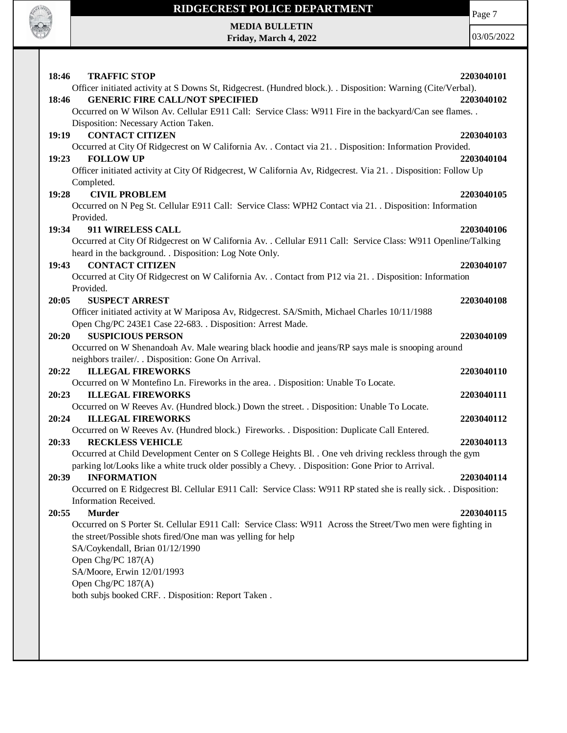

**Friday, March 4, 2022**

Page 7

| 18:46<br><b>TRAFFIC STOP</b><br>2203040101                                                                            |
|-----------------------------------------------------------------------------------------------------------------------|
| Officer initiated activity at S Downs St, Ridgecrest. (Hundred block.). . Disposition: Warning (Cite/Verbal).         |
| <b>GENERIC FIRE CALL/NOT SPECIFIED</b><br>18:46<br>2203040102                                                         |
| Occurred on W Wilson Av. Cellular E911 Call: Service Class: W911 Fire in the backyard/Can see flames                  |
| Disposition: Necessary Action Taken.                                                                                  |
| <b>CONTACT CITIZEN</b><br>19:19<br>2203040103                                                                         |
| Occurred at City Of Ridgecrest on W California Av. . Contact via 21. . Disposition: Information Provided.             |
| <b>FOLLOW UP</b><br>19:23<br>2203040104                                                                               |
| Officer initiated activity at City Of Ridgecrest, W California Av, Ridgecrest. Via 21. . Disposition: Follow Up       |
| Completed.                                                                                                            |
| <b>CIVIL PROBLEM</b><br>19:28<br>2203040105                                                                           |
| Occurred on N Peg St. Cellular E911 Call: Service Class: WPH2 Contact via 21. . Disposition: Information              |
| Provided.                                                                                                             |
| 19:34<br>911 WIRELESS CALL<br>2203040106                                                                              |
| Occurred at City Of Ridgecrest on W California Av. . Cellular E911 Call: Service Class: W911 Openline/Talking         |
| heard in the background. . Disposition: Log Note Only.                                                                |
| <b>CONTACT CITIZEN</b><br>19:43<br>2203040107                                                                         |
| Occurred at City Of Ridgecrest on W California Av. . Contact from P12 via 21. . Disposition: Information<br>Provided. |
| 20:05<br><b>SUSPECT ARREST</b><br>2203040108                                                                          |
| Officer initiated activity at W Mariposa Av, Ridgecrest. SA/Smith, Michael Charles 10/11/1988                         |
| Open Chg/PC 243E1 Case 22-683. . Disposition: Arrest Made.                                                            |
| <b>SUSPICIOUS PERSON</b><br>2203040109<br>20:20                                                                       |
| Occurred on W Shenandoah Av. Male wearing black hoodie and jeans/RP says male is snooping around                      |
| neighbors trailer/. . Disposition: Gone On Arrival.                                                                   |
| <b>ILLEGAL FIREWORKS</b><br>20:22<br>2203040110                                                                       |
| Occurred on W Montefino Ln. Fireworks in the area. . Disposition: Unable To Locate.                                   |
| <b>ILLEGAL FIREWORKS</b><br>20:23<br>2203040111                                                                       |
| Occurred on W Reeves Av. (Hundred block.) Down the street. . Disposition: Unable To Locate.                           |
| 20:24<br><b>ILLEGAL FIREWORKS</b><br>2203040112                                                                       |
| Occurred on W Reeves Av. (Hundred block.) Fireworks. . Disposition: Duplicate Call Entered.                           |
| <b>RECKLESS VEHICLE</b><br>20:33<br>2203040113                                                                        |
| Occurred at Child Development Center on S College Heights Bl. . One veh driving reckless through the gym              |
| parking lot/Looks like a white truck older possibly a Chevy. . Disposition: Gone Prior to Arrival.                    |
| 20:39<br><b>INFORMATION</b><br>2203040114                                                                             |
| Occurred on E Ridgecrest Bl. Cellular E911 Call: Service Class: W911 RP stated she is really sick. . Disposition:     |
| Information Received.                                                                                                 |
| <b>Murder</b><br>20:55<br>2203040115                                                                                  |
| Occurred on S Porter St. Cellular E911 Call: Service Class: W911 Across the Street/Two men were fighting in           |
| the street/Possible shots fired/One man was yelling for help                                                          |
| SA/Coykendall, Brian 01/12/1990                                                                                       |
| Open Chg/PC 187(A)                                                                                                    |
| SA/Moore, Erwin 12/01/1993<br>Open Chg/PC 187(A)                                                                      |
| both subjs booked CRF. . Disposition: Report Taken.                                                                   |
|                                                                                                                       |
|                                                                                                                       |
|                                                                                                                       |